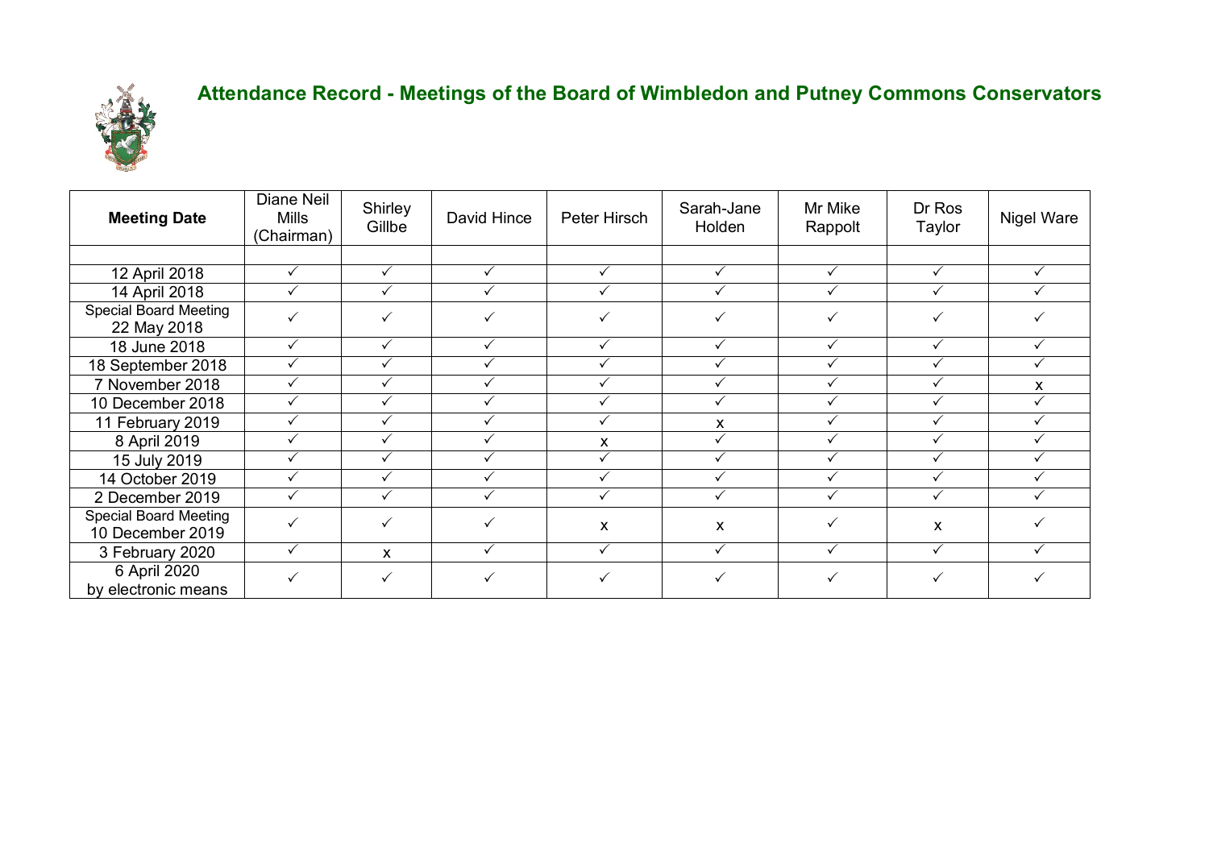

## **Attendance Record - Meetings of the Board of Wimbledon and Putney Commons Conservators**

| <b>Meeting Date</b>                              | Diane Neil<br>Mills<br>(Chairman) | Shirley<br>Gillbe | David Hince | Peter Hirsch | Sarah-Jane<br>Holden | Mr Mike<br>Rappolt | Dr Ros<br>Taylor | Nigel Ware |
|--------------------------------------------------|-----------------------------------|-------------------|-------------|--------------|----------------------|--------------------|------------------|------------|
|                                                  |                                   |                   |             |              |                      |                    |                  |            |
| 12 April 2018                                    | ✓                                 |                   | ✓           |              |                      | $\checkmark$       | $\checkmark$     |            |
| 14 April 2018                                    | $\checkmark$                      | ✓                 | ✓           |              | ✓                    | $\checkmark$       | $\checkmark$     |            |
| <b>Special Board Meeting</b><br>22 May 2018      | $\checkmark$                      | $\checkmark$      | ✓           |              | ✓                    | $\checkmark$       | $\checkmark$     |            |
| 18 June 2018                                     | ✓                                 | ✓                 | ✓           |              | ✓                    | ✓                  | $\checkmark$     |            |
| 18 September 2018                                | $\checkmark$                      |                   | ✓           |              |                      | $\checkmark$       | $\checkmark$     |            |
| 7 November 2018                                  | ✓                                 |                   |             |              |                      |                    |                  | X          |
| 10 December 2018                                 | $\checkmark$                      |                   | ✓           |              |                      | $\checkmark$       | $\checkmark$     |            |
| 11 February 2019                                 | $\checkmark$                      |                   | ✓           |              | X                    |                    | ✓                |            |
| 8 April 2019                                     |                                   |                   |             | x            |                      |                    |                  |            |
| 15 July 2019                                     |                                   |                   |             |              |                      |                    |                  |            |
| 14 October 2019                                  | ✓                                 |                   | ✓           |              |                      |                    |                  |            |
| 2 December 2019                                  | $\checkmark$                      | ✓                 | ✓           | $\checkmark$ | ✓                    | $\checkmark$       | $\checkmark$     | ✓          |
| <b>Special Board Meeting</b><br>10 December 2019 | ✓                                 | $\checkmark$      | ✓           | X            | X                    | ✓                  | X                |            |
| 3 February 2020                                  | $\checkmark$                      | X                 | ✓           | $\checkmark$ | $\checkmark$         | ✓                  | $\checkmark$     | ✓          |
| 6 April 2020<br>by electronic means              | ✓                                 | $\checkmark$      | ✓           |              | ✓                    | $\checkmark$       | $\checkmark$     |            |